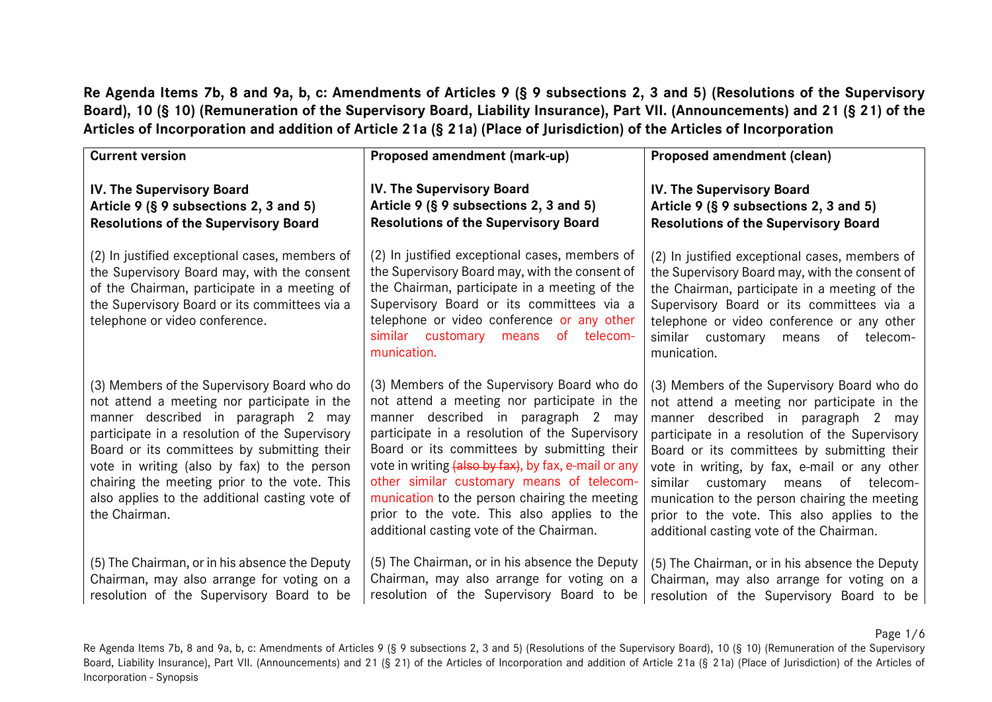**Re Agenda Items 7b, 8 and 9a, b, c: Amendments of Articles 9 (§ 9 subsections 2, 3 and 5) (Resolutions of the Supervisory Board), 10 (§ 10) (Remuneration of the Supervisory Board, Liability Insurance), Part VII. (Announcements) and 21 (§ 21) of the Articles of Incorporation and addition of Article 21a (§ 21a) (Place of Jurisdiction) of the Articles of Incorporation**

| <b>Current version</b>                                                                                                                                                                                                                                                                                                                                                                               | Proposed amendment (mark-up)                                                                                                                                                                                                                                                                                                                                                                                                                                                        | Proposed amendment (clean)                                                                                                                                                                                                                                                                                                                                                                                                                                               |
|------------------------------------------------------------------------------------------------------------------------------------------------------------------------------------------------------------------------------------------------------------------------------------------------------------------------------------------------------------------------------------------------------|-------------------------------------------------------------------------------------------------------------------------------------------------------------------------------------------------------------------------------------------------------------------------------------------------------------------------------------------------------------------------------------------------------------------------------------------------------------------------------------|--------------------------------------------------------------------------------------------------------------------------------------------------------------------------------------------------------------------------------------------------------------------------------------------------------------------------------------------------------------------------------------------------------------------------------------------------------------------------|
| <b>IV. The Supervisory Board</b><br>Article 9 (§ 9 subsections 2, 3 and 5)<br><b>Resolutions of the Supervisory Board</b>                                                                                                                                                                                                                                                                            | <b>IV. The Supervisory Board</b><br>Article 9 (§ 9 subsections 2, 3 and 5)<br><b>Resolutions of the Supervisory Board</b>                                                                                                                                                                                                                                                                                                                                                           | IV. The Supervisory Board<br>Article 9 (§ 9 subsections 2, 3 and 5)<br><b>Resolutions of the Supervisory Board</b>                                                                                                                                                                                                                                                                                                                                                       |
| (2) In justified exceptional cases, members of<br>the Supervisory Board may, with the consent<br>of the Chairman, participate in a meeting of<br>the Supervisory Board or its committees via a<br>telephone or video conference.                                                                                                                                                                     | (2) In justified exceptional cases, members of<br>the Supervisory Board may, with the consent of<br>the Chairman, participate in a meeting of the<br>Supervisory Board or its committees via a<br>telephone or video conference or any other<br>similar customary means of telecom-<br>munication.                                                                                                                                                                                  | (2) In justified exceptional cases, members of<br>the Supervisory Board may, with the consent of<br>the Chairman, participate in a meeting of the<br>Supervisory Board or its committees via a<br>telephone or video conference or any other<br>similar customary means<br>of telecom-<br>munication.                                                                                                                                                                    |
| (3) Members of the Supervisory Board who do<br>not attend a meeting nor participate in the<br>manner described in paragraph 2 may<br>participate in a resolution of the Supervisory<br>Board or its committees by submitting their<br>vote in writing (also by fax) to the person<br>chairing the meeting prior to the vote. This<br>also applies to the additional casting vote of<br>the Chairman. | (3) Members of the Supervisory Board who do<br>not attend a meeting nor participate in the<br>manner described in paragraph 2 may<br>participate in a resolution of the Supervisory<br>Board or its committees by submitting their<br>vote in writing (also by fax), by fax, e-mail or any<br>other similar customary means of telecom-<br>munication to the person chairing the meeting<br>prior to the vote. This also applies to the<br>additional casting vote of the Chairman. | (3) Members of the Supervisory Board who do<br>not attend a meeting nor participate in the<br>manner described in paragraph 2 may<br>participate in a resolution of the Supervisory<br>Board or its committees by submitting their<br>vote in writing, by fax, e-mail or any other<br>similar<br>customary means of telecom-<br>munication to the person chairing the meeting<br>prior to the vote. This also applies to the<br>additional casting vote of the Chairman. |
| (5) The Chairman, or in his absence the Deputy<br>Chairman, may also arrange for voting on a<br>resolution of the Supervisory Board to be                                                                                                                                                                                                                                                            | (5) The Chairman, or in his absence the Deputy<br>Chairman, may also arrange for voting on a<br>resolution of the Supervisory Board to be                                                                                                                                                                                                                                                                                                                                           | (5) The Chairman, or in his absence the Deputy<br>Chairman, may also arrange for voting on a<br>resolution of the Supervisory Board to be                                                                                                                                                                                                                                                                                                                                |

Page 1/6

Re Agenda Items 7b, 8 and 9a, b, c: Amendments of Articles 9 (§ 9 subsections 2, 3 and 5) (Resolutions of the Supervisory Board), 10 (§ 10) (Remuneration of the Supervisory Board, Liability Insurance), Part VII. (Announcements) and 21 (§ 21) of the Articles of Incorporation and addition of Article 21a (§ 21a) (Place of Jurisdiction) of the Articles of Incorporation - Synopsis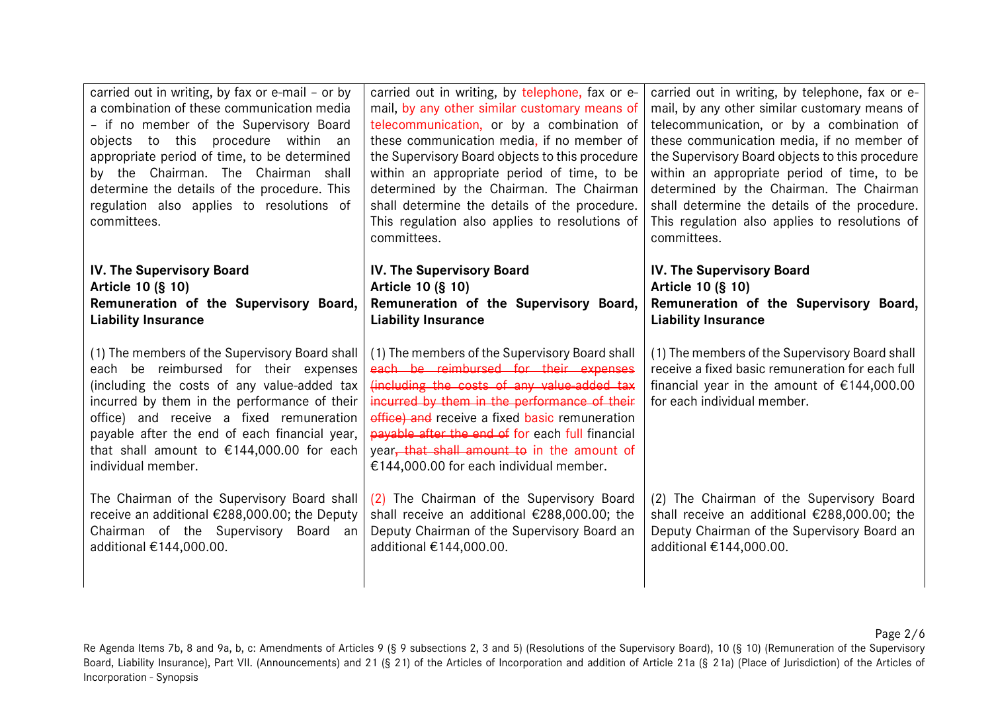| carried out in writing, by fax or e-mail - or by<br>a combination of these communication media<br>- if no member of the Supervisory Board<br>objects to this procedure within an<br>appropriate period of time, to be determined<br>by the Chairman. The Chairman shall<br>determine the details of the procedure. This<br>regulation also applies to resolutions of<br>committees. | carried out in writing, by telephone, fax or e-<br>mail, by any other similar customary means of<br>telecommunication, or by a combination of<br>these communication media, if no member of<br>the Supervisory Board objects to this procedure<br>within an appropriate period of time, to be<br>determined by the Chairman. The Chairman<br>shall determine the details of the procedure.<br>This regulation also applies to resolutions of<br>committees. | carried out in writing, by telephone, fax or e-<br>mail, by any other similar customary means of<br>telecommunication, or by a combination of<br>these communication media, if no member of<br>the Supervisory Board objects to this procedure<br>within an appropriate period of time, to be<br>determined by the Chairman. The Chairman<br>shall determine the details of the procedure.<br>This regulation also applies to resolutions of<br>committees. |
|-------------------------------------------------------------------------------------------------------------------------------------------------------------------------------------------------------------------------------------------------------------------------------------------------------------------------------------------------------------------------------------|-------------------------------------------------------------------------------------------------------------------------------------------------------------------------------------------------------------------------------------------------------------------------------------------------------------------------------------------------------------------------------------------------------------------------------------------------------------|-------------------------------------------------------------------------------------------------------------------------------------------------------------------------------------------------------------------------------------------------------------------------------------------------------------------------------------------------------------------------------------------------------------------------------------------------------------|
| <b>IV. The Supervisory Board</b>                                                                                                                                                                                                                                                                                                                                                    | IV. The Supervisory Board                                                                                                                                                                                                                                                                                                                                                                                                                                   | <b>IV. The Supervisory Board</b>                                                                                                                                                                                                                                                                                                                                                                                                                            |
| Article 10 (§ 10)                                                                                                                                                                                                                                                                                                                                                                   | Article 10 (§ 10)                                                                                                                                                                                                                                                                                                                                                                                                                                           | Article 10 (§ 10)                                                                                                                                                                                                                                                                                                                                                                                                                                           |
| Remuneration of the Supervisory Board,                                                                                                                                                                                                                                                                                                                                              | Remuneration of the Supervisory Board,                                                                                                                                                                                                                                                                                                                                                                                                                      | Remuneration of the Supervisory Board,                                                                                                                                                                                                                                                                                                                                                                                                                      |
| <b>Liability Insurance</b>                                                                                                                                                                                                                                                                                                                                                          | <b>Liability Insurance</b>                                                                                                                                                                                                                                                                                                                                                                                                                                  | <b>Liability Insurance</b>                                                                                                                                                                                                                                                                                                                                                                                                                                  |
| (1) The members of the Supervisory Board shall<br>each be reimbursed for their expenses<br>(including the costs of any value-added tax<br>incurred by them in the performance of their<br>office) and receive a fixed remuneration<br>payable after the end of each financial year,<br>that shall amount to €144,000.00 for each<br>individual member.                              | (1) The members of the Supervisory Board shall<br>each be reimbursed for their expenses<br>(including the costs of any value-added tax<br>incurred by them in the performance of their<br>office) and receive a fixed basic remuneration<br>payable after the end of for each full financial<br>year, that shall amount to in the amount of<br>€144,000.00 for each individual member.                                                                      | (1) The members of the Supervisory Board shall<br>receive a fixed basic remuneration for each full<br>financial year in the amount of $£144,000.00$<br>for each individual member.                                                                                                                                                                                                                                                                          |
| The Chairman of the Supervisory Board shall                                                                                                                                                                                                                                                                                                                                         | (2) The Chairman of the Supervisory Board                                                                                                                                                                                                                                                                                                                                                                                                                   | (2) The Chairman of the Supervisory Board                                                                                                                                                                                                                                                                                                                                                                                                                   |
| receive an additional €288,000.00; the Deputy                                                                                                                                                                                                                                                                                                                                       | shall receive an additional €288,000.00; the                                                                                                                                                                                                                                                                                                                                                                                                                | shall receive an additional €288,000.00; the                                                                                                                                                                                                                                                                                                                                                                                                                |
| Chairman of the Supervisory Board an                                                                                                                                                                                                                                                                                                                                                | Deputy Chairman of the Supervisory Board an                                                                                                                                                                                                                                                                                                                                                                                                                 | Deputy Chairman of the Supervisory Board an                                                                                                                                                                                                                                                                                                                                                                                                                 |
| additional €144,000.00.                                                                                                                                                                                                                                                                                                                                                             | additional €144,000.00.                                                                                                                                                                                                                                                                                                                                                                                                                                     | additional €144,000.00.                                                                                                                                                                                                                                                                                                                                                                                                                                     |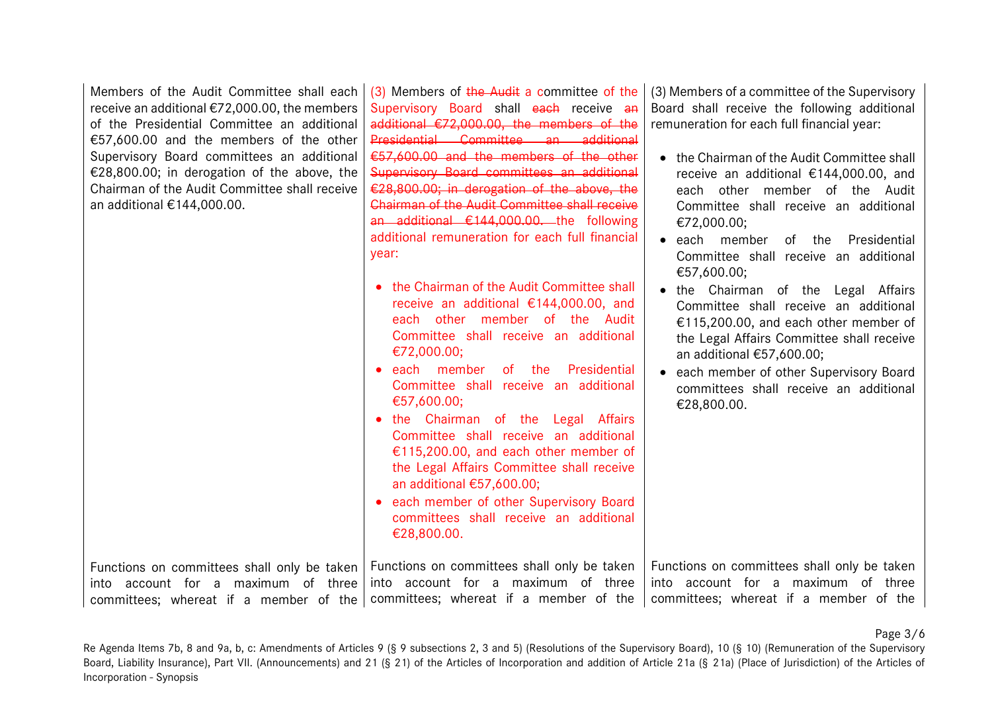Members of the Audit Committee shall each receive an additional €72,000.00, the members of the Presidential Committee an additional €57,600.00 and the members of the other Supervisory Board committees an additional €28,800.00; in derogation of the above, the Chairman of the Audit Committee shall receive an additional €144,000.00.

(3) Members of the Audit a committee of the Supervisory Board shall each receive an additional €72,000.00, the members of the Presidential Committee an additional €57,600.00 and the members of the other Supervisory Board committees an additional €28,800.00; in derogation of the above, the Chairman of the Audit Committee shall receive an additional €144,000.00. the following additional remuneration for each full financial year:

- the Chairman of the Audit Committee shall receive an additional €144,000.00, and each other member of the Audit Committee shall receive an additional €72,000.00;
- each member of the Presidential Committee shall receive an additional €57,600.00;
- the Chairman of the Legal Affairs Committee shall receive an additional €115,200.00, and each other member of the Legal Affairs Committee shall receive an additional €57,600.00;
- each member of other Supervisory Board committees shall receive an additional €28,800.00.

(3) Members of a committee of the Supervisory Board shall receive the following additional remuneration for each full financial year:

- the Chairman of the Audit Committee shall receive an additional €144,000.00, and each other member of the Audit Committee shall receive an additional €72,000.00;
- each member of the Presidential Committee shall receive an additional €57,600.00;
- the Chairman of the Legal Affairs Committee shall receive an additional €115,200.00, and each other member of the Legal Affairs Committee shall receive an additional €57,600.00;
- each member of other Supervisory Board committees shall receive an additional €28,800.00.

Functions on committees shall only be taken into account for a maximum of three committees; whereat if a member of the committees; whereat if a member of the Functions on committees shall only be taken into account for a maximum of three Functions on committees shall only be taken into account for a maximum of three committees; whereat if a member of the

Page 3/6

Re Agenda Items 7b, 8 and 9a, b, c: Amendments of Articles 9 (§ 9 subsections 2, 3 and 5) (Resolutions of the Supervisory Board), 10 (§ 10) (Remuneration of the Supervisory Board, Liability Insurance), Part VII. (Announcements) and 21 (§ 21) of the Articles of Incorporation and addition of Article 21a (§ 21a) (Place of Jurisdiction) of the Articles of Incorporation - Synopsis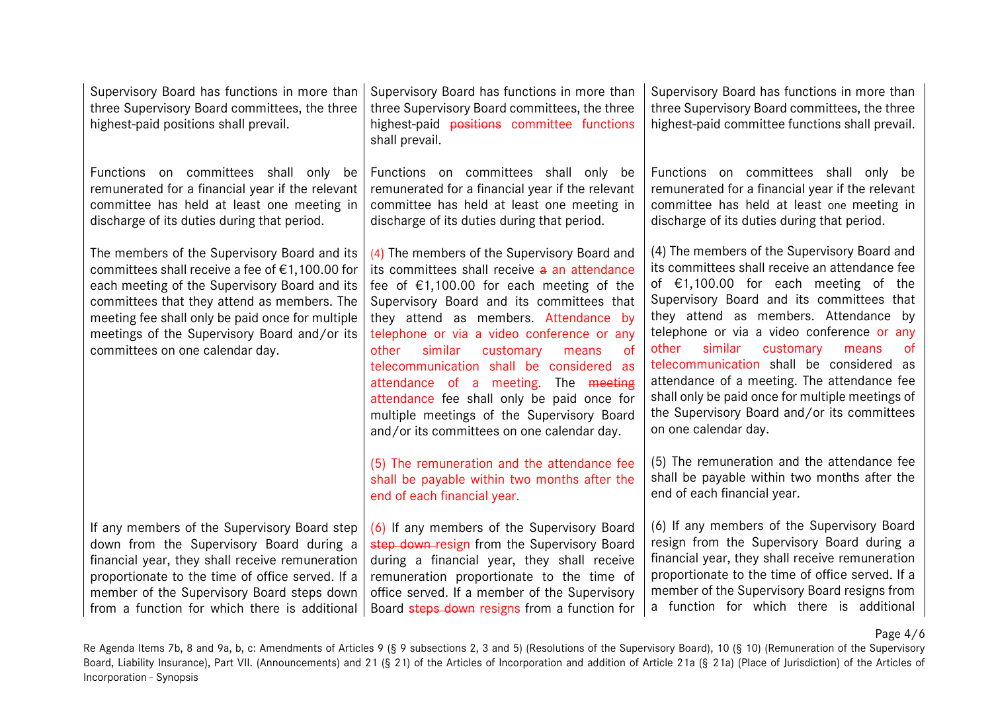| Supervisory Board has functions in more than<br>three Supervisory Board committees, the three<br>highest-paid positions shall prevail.                                                                                                                                                                                                 | Supervisory Board has functions in more than<br>three Supervisory Board committees, the three<br>highest-paid positions committee functions<br>shall prevail.                                                                                                                                                                                                                                                                                                                                                                                                                                                                                                                                         | Supervisory Board has functions in more than<br>three Supervisory Board committees, the three<br>highest-paid committee functions shall prevail.                                                                                                                                                                                                                                                                                                                                                                                                                                                                                                                                         |
|----------------------------------------------------------------------------------------------------------------------------------------------------------------------------------------------------------------------------------------------------------------------------------------------------------------------------------------|-------------------------------------------------------------------------------------------------------------------------------------------------------------------------------------------------------------------------------------------------------------------------------------------------------------------------------------------------------------------------------------------------------------------------------------------------------------------------------------------------------------------------------------------------------------------------------------------------------------------------------------------------------------------------------------------------------|------------------------------------------------------------------------------------------------------------------------------------------------------------------------------------------------------------------------------------------------------------------------------------------------------------------------------------------------------------------------------------------------------------------------------------------------------------------------------------------------------------------------------------------------------------------------------------------------------------------------------------------------------------------------------------------|
| Functions on committees shall only be                                                                                                                                                                                                                                                                                                  | Functions on committees shall only be                                                                                                                                                                                                                                                                                                                                                                                                                                                                                                                                                                                                                                                                 | Functions on committees shall only be                                                                                                                                                                                                                                                                                                                                                                                                                                                                                                                                                                                                                                                    |
| remunerated for a financial year if the relevant                                                                                                                                                                                                                                                                                       | remunerated for a financial year if the relevant                                                                                                                                                                                                                                                                                                                                                                                                                                                                                                                                                                                                                                                      | remunerated for a financial year if the relevant                                                                                                                                                                                                                                                                                                                                                                                                                                                                                                                                                                                                                                         |
| committee has held at least one meeting in                                                                                                                                                                                                                                                                                             | committee has held at least one meeting in                                                                                                                                                                                                                                                                                                                                                                                                                                                                                                                                                                                                                                                            | committee has held at least one meeting in                                                                                                                                                                                                                                                                                                                                                                                                                                                                                                                                                                                                                                               |
| discharge of its duties during that period.                                                                                                                                                                                                                                                                                            | discharge of its duties during that period.                                                                                                                                                                                                                                                                                                                                                                                                                                                                                                                                                                                                                                                           | discharge of its duties during that period.                                                                                                                                                                                                                                                                                                                                                                                                                                                                                                                                                                                                                                              |
| The members of the Supervisory Board and its<br>committees shall receive a fee of €1,100.00 for<br>each meeting of the Supervisory Board and its<br>committees that they attend as members. The<br>meeting fee shall only be paid once for multiple<br>meetings of the Supervisory Board and/or its<br>committees on one calendar day. | (4) The members of the Supervisory Board and<br>its committees shall receive a an attendance<br>fee of $£1,100.00$ for each meeting of the<br>Supervisory Board and its committees that<br>they attend as members. Attendance by<br>telephone or via a video conference or any<br>similar<br>customary<br><sub>of</sub><br>other<br>means<br>telecommunication shall be considered as<br>attendance of a meeting. The meeting<br>attendance fee shall only be paid once for<br>multiple meetings of the Supervisory Board<br>and/or its committees on one calendar day.<br>(5) The remuneration and the attendance fee<br>shall be payable within two months after the<br>end of each financial year. | (4) The members of the Supervisory Board and<br>its committees shall receive an attendance fee<br>of $\epsilon$ 1,100.00 for each meeting of the<br>Supervisory Board and its committees that<br>they attend as members. Attendance by<br>telephone or via a video conference or any<br>similar<br>customary<br>other<br>0f<br>means<br>telecommunication shall be considered as<br>attendance of a meeting. The attendance fee<br>shall only be paid once for multiple meetings of<br>the Supervisory Board and/or its committees<br>on one calendar day.<br>(5) The remuneration and the attendance fee<br>shall be payable within two months after the<br>end of each financial year. |
| If any members of the Supervisory Board step                                                                                                                                                                                                                                                                                           | (6) If any members of the Supervisory Board                                                                                                                                                                                                                                                                                                                                                                                                                                                                                                                                                                                                                                                           | (6) If any members of the Supervisory Board                                                                                                                                                                                                                                                                                                                                                                                                                                                                                                                                                                                                                                              |
| down from the Supervisory Board during a                                                                                                                                                                                                                                                                                               | step down-resign from the Supervisory Board                                                                                                                                                                                                                                                                                                                                                                                                                                                                                                                                                                                                                                                           | resign from the Supervisory Board during a                                                                                                                                                                                                                                                                                                                                                                                                                                                                                                                                                                                                                                               |
| financial year, they shall receive remuneration                                                                                                                                                                                                                                                                                        | during a financial year, they shall receive                                                                                                                                                                                                                                                                                                                                                                                                                                                                                                                                                                                                                                                           | financial year, they shall receive remuneration                                                                                                                                                                                                                                                                                                                                                                                                                                                                                                                                                                                                                                          |
| proportionate to the time of office served. If a                                                                                                                                                                                                                                                                                       | remuneration proportionate to the time of                                                                                                                                                                                                                                                                                                                                                                                                                                                                                                                                                                                                                                                             | proportionate to the time of office served. If a                                                                                                                                                                                                                                                                                                                                                                                                                                                                                                                                                                                                                                         |
| member of the Supervisory Board steps down                                                                                                                                                                                                                                                                                             | office served. If a member of the Supervisory                                                                                                                                                                                                                                                                                                                                                                                                                                                                                                                                                                                                                                                         | member of the Supervisory Board resigns from                                                                                                                                                                                                                                                                                                                                                                                                                                                                                                                                                                                                                                             |
| from a function for which there is additional                                                                                                                                                                                                                                                                                          | Board steps down resigns from a function for                                                                                                                                                                                                                                                                                                                                                                                                                                                                                                                                                                                                                                                          | a function for which there is additional                                                                                                                                                                                                                                                                                                                                                                                                                                                                                                                                                                                                                                                 |

Page 4/6

Re Agenda Items 7b, 8 and 9a, b, c: Amendments of Articles 9 (§ 9 subsections 2, 3 and 5) (Resolutions of the Supervisory Board), 10 (§ 10) (Remuneration of the Supervisory Board, Liability Insurance), Part VII. (Announcements) and 21 (§ 21) of the Articles of Incorporation and addition of Article 21a (§ 21a) (Place of Jurisdiction) of the Articles of Incorporation - Synopsis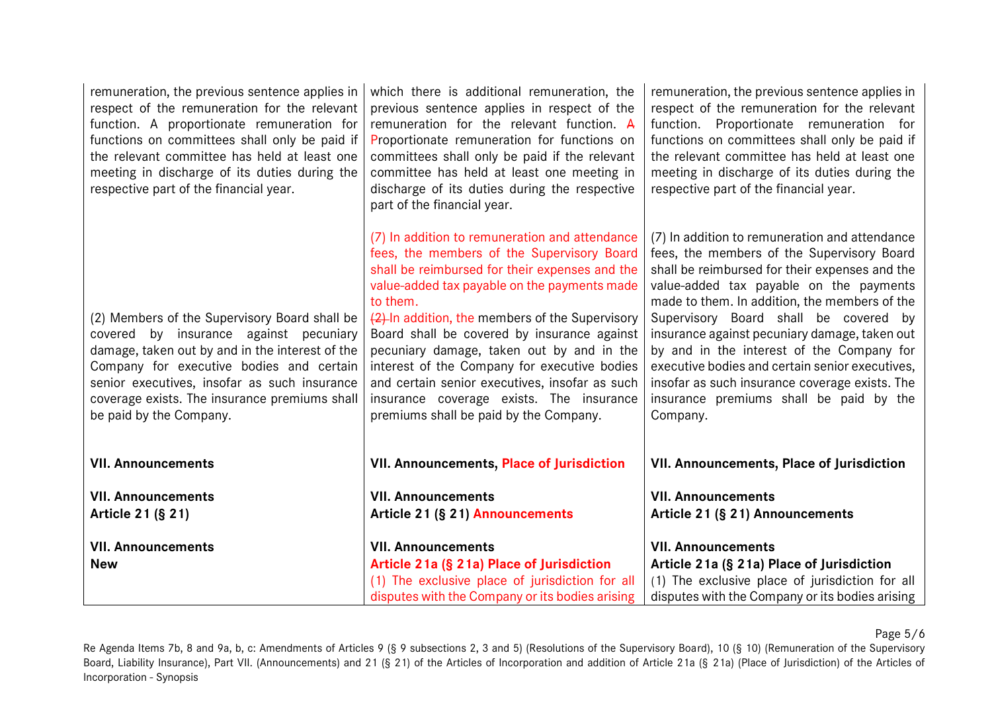| remuneration, the previous sentence applies in<br>respect of the remuneration for the relevant<br>function. A proportionate remuneration for<br>functions on committees shall only be paid if<br>the relevant committee has held at least one<br>meeting in discharge of its duties during the<br>respective part of the financial year. | which there is additional remuneration, the<br>previous sentence applies in respect of the<br>remuneration for the relevant function. A<br>Proportionate remuneration for functions on<br>committees shall only be paid if the relevant<br>committee has held at least one meeting in<br>discharge of its duties during the respective<br>part of the financial year.                                                                                                                                                                             | remuneration, the previous sentence applies in<br>respect of the remuneration for the relevant<br>function. Proportionate remuneration for<br>functions on committees shall only be paid if<br>the relevant committee has held at least one<br>meeting in discharge of its duties during the<br>respective part of the financial year.                                                                                                                                                                                                        |
|------------------------------------------------------------------------------------------------------------------------------------------------------------------------------------------------------------------------------------------------------------------------------------------------------------------------------------------|---------------------------------------------------------------------------------------------------------------------------------------------------------------------------------------------------------------------------------------------------------------------------------------------------------------------------------------------------------------------------------------------------------------------------------------------------------------------------------------------------------------------------------------------------|-----------------------------------------------------------------------------------------------------------------------------------------------------------------------------------------------------------------------------------------------------------------------------------------------------------------------------------------------------------------------------------------------------------------------------------------------------------------------------------------------------------------------------------------------|
| (2) Members of the Supervisory Board shall be<br>covered by insurance against pecuniary<br>damage, taken out by and in the interest of the<br>Company for executive bodies and certain<br>senior executives, insofar as such insurance<br>coverage exists. The insurance premiums shall<br>be paid by the Company.                       | (7) In addition to remuneration and attendance<br>fees, the members of the Supervisory Board<br>shall be reimbursed for their expenses and the<br>value-added tax payable on the payments made<br>to them.<br>(2) In addition, the members of the Supervisory<br>Board shall be covered by insurance against<br>pecuniary damage, taken out by and in the<br>interest of the Company for executive bodies<br>and certain senior executives, insofar as such<br>insurance coverage exists. The insurance<br>premiums shall be paid by the Company. | (7) In addition to remuneration and attendance<br>fees, the members of the Supervisory Board<br>shall be reimbursed for their expenses and the<br>value-added tax payable on the payments<br>made to them. In addition, the members of the<br>Supervisory Board shall be covered by<br>insurance against pecuniary damage, taken out<br>by and in the interest of the Company for<br>executive bodies and certain senior executives,<br>insofar as such insurance coverage exists. The<br>insurance premiums shall be paid by the<br>Company. |
| <b>VII. Announcements</b>                                                                                                                                                                                                                                                                                                                | <b>VII. Announcements, Place of Jurisdiction</b>                                                                                                                                                                                                                                                                                                                                                                                                                                                                                                  | VII. Announcements, Place of Jurisdiction                                                                                                                                                                                                                                                                                                                                                                                                                                                                                                     |
| <b>VII. Announcements</b><br>Article 21 (§ 21)                                                                                                                                                                                                                                                                                           | <b>VII. Announcements</b><br>Article 21 (§ 21) Announcements                                                                                                                                                                                                                                                                                                                                                                                                                                                                                      | <b>VII. Announcements</b><br>Article 21 (§ 21) Announcements                                                                                                                                                                                                                                                                                                                                                                                                                                                                                  |
| <b>VII. Announcements</b><br><b>New</b>                                                                                                                                                                                                                                                                                                  | <b>VII. Announcements</b><br>Article 21a (§ 21a) Place of Jurisdiction<br>(1) The exclusive place of jurisdiction for all<br>disputes with the Company or its bodies arising                                                                                                                                                                                                                                                                                                                                                                      | <b>VII. Announcements</b><br>Article 21a (§ 21a) Place of Jurisdiction<br>(1) The exclusive place of jurisdiction for all<br>disputes with the Company or its bodies arising                                                                                                                                                                                                                                                                                                                                                                  |

Page 5/6

Re Agenda Items 7b, 8 and 9a, b, c: Amendments of Articles 9 (§ 9 subsections 2, 3 and 5) (Resolutions of the Supervisory Board), 10 (§ 10) (Remuneration of the Supervisory Board, Liability Insurance), Part VII. (Announcements) and 21 (§ 21) of the Articles of Incorporation and addition of Article 21a (§ 21a) (Place of Jurisdiction) of the Articles of Incorporation - Synopsis